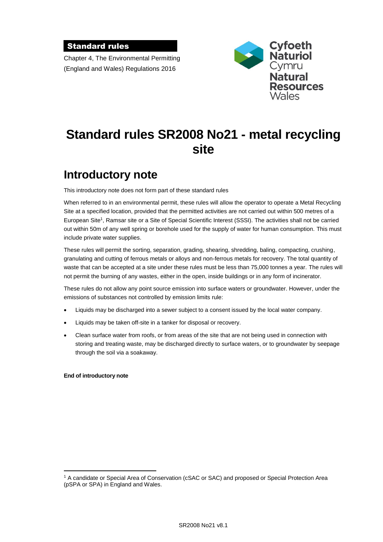#### Standard rules

Chapter 4, The Environmental Permitting (England and Wales) Regulations 2016



# **Standard rules SR2008 No21 - metal recycling site**

# **Introductory note**

This introductory note does not form part of these standard rules

When referred to in an environmental permit, these rules will allow the operator to operate a Metal Recycling Site at a specified location, provided that the permitted activities are not carried out within 500 metres of a European Site<sup>1</sup>, Ramsar site or a Site of Special Scientific Interest (SSSI). The activities shall not be carried out within 50m of any well spring or borehole used for the supply of water for human consumption. This must include private water supplies.

These rules will permit the sorting, separation, grading, shearing, shredding, baling, compacting, crushing, granulating and cutting of ferrous metals or alloys and non-ferrous metals for recovery. The total quantity of waste that can be accepted at a site under these rules must be less than 75,000 tonnes a year. The rules will not permit the burning of any wastes, either in the open, inside buildings or in any form of incinerator.

These rules do not allow any point source emission into surface waters or groundwater. However, under the emissions of substances not controlled by emission limits rule:

- Liquids may be discharged into a sewer subject to a consent issued by the local water company.
- Liquids may be taken off-site in a tanker for disposal or recovery.
- Clean surface water from roofs, or from areas of the site that are not being used in connection with storing and treating waste, may be discharged directly to surface waters, or to groundwater by seepage through the soil via a soakaway.

#### **End of introductory note**

 $\overline{a}$ 

<sup>1</sup> A candidate or Special Area of Conservation (cSAC or SAC) and proposed or Special Protection Area (pSPA or SPA) in England and Wales.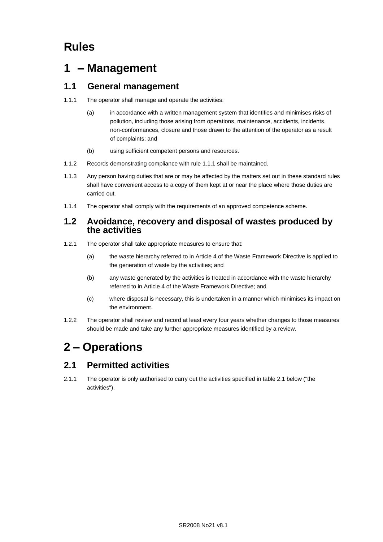# **Rules**

## **1 – Management**

### **1.1 General management**

- 1.1.1 The operator shall manage and operate the activities:
	- (a) in accordance with a written management system that identifies and minimises risks of pollution, including those arising from operations, maintenance, accidents, incidents, non-conformances, closure and those drawn to the attention of the operator as a result of complaints; and
	- (b) using sufficient competent persons and resources.
- 1.1.2 Records demonstrating compliance with rule 1.1.1 shall be maintained.
- 1.1.3 Any person having duties that are or may be affected by the matters set out in these standard rules shall have convenient access to a copy of them kept at or near the place where those duties are carried out.
- 1.1.4 The operator shall comply with the requirements of an approved competence scheme.

#### **1.2 Avoidance, recovery and disposal of wastes produced by the activities**

- 1.2.1 The operator shall take appropriate measures to ensure that:
	- (a) the waste hierarchy referred to in Article 4 of the Waste Framework Directive is applied to the generation of waste by the activities; and
	- (b) any waste generated by the activities is treated in accordance with the waste hierarchy referred to in Article 4 of the Waste Framework Directive; and
	- (c) where disposal is necessary, this is undertaken in a manner which minimises its impact on the environment.
- 1.2.2 The operator shall review and record at least every four years whether changes to those measures should be made and take any further appropriate measures identified by a review.

# **2 – Operations**

### **2.1 Permitted activities**

2.1.1 The operator is only authorised to carry out the activities specified in table 2.1 below ("the activities").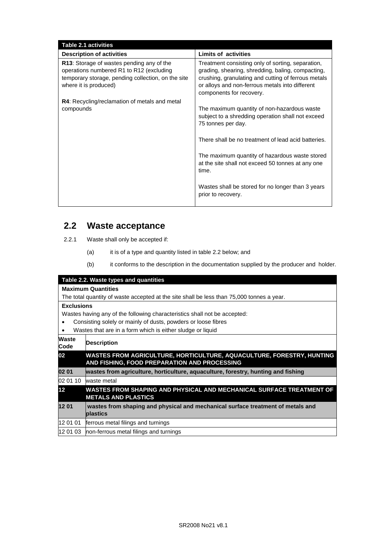| <b>Table 2.1 activities</b>                                                                                                                                          |                                                                                                                                                                                                                                              |
|----------------------------------------------------------------------------------------------------------------------------------------------------------------------|----------------------------------------------------------------------------------------------------------------------------------------------------------------------------------------------------------------------------------------------|
| <b>Description of activities</b>                                                                                                                                     | Limits of activities                                                                                                                                                                                                                         |
| R13: Storage of wastes pending any of the<br>operations numbered R1 to R12 (excluding<br>temporary storage, pending collection, on the site<br>where it is produced) | Treatment consisting only of sorting, separation,<br>grading, shearing, shredding, baling, compacting,<br>crushing, granulating and cutting of ferrous metals<br>or alloys and non-ferrous metals into different<br>components for recovery. |
| <b>R4:</b> Recycling/reclamation of metals and metal<br>compounds                                                                                                    | The maximum quantity of non-hazardous waste<br>subject to a shredding operation shall not exceed<br>75 tonnes per day.                                                                                                                       |
|                                                                                                                                                                      | There shall be no treatment of lead acid batteries.                                                                                                                                                                                          |
|                                                                                                                                                                      | The maximum quantity of hazardous waste stored<br>at the site shall not exceed 50 tonnes at any one<br>time.                                                                                                                                 |
|                                                                                                                                                                      | Wastes shall be stored for no longer than 3 years<br>prior to recovery.                                                                                                                                                                      |

### **2.2 Waste acceptance**

- 2.2.1 Waste shall only be accepted if:
	- (a) it is of a type and quantity listed in table 2.2 below; and
	- (b) it conforms to the description in the documentation supplied by the producer and holder.

|                                                                           | Table 2.2. Waste types and quantities                                                                                 |
|---------------------------------------------------------------------------|-----------------------------------------------------------------------------------------------------------------------|
|                                                                           | <b>Maximum Quantities</b>                                                                                             |
|                                                                           | The total quantity of waste accepted at the site shall be less than 75,000 tonnes a year.                             |
| <b>Exclusions</b>                                                         |                                                                                                                       |
| Wastes having any of the following characteristics shall not be accepted: |                                                                                                                       |
|                                                                           | Consisting solely or mainly of dusts, powders or loose fibres                                                         |
| ٠                                                                         | Wastes that are in a form which is either sludge or liquid                                                            |
| Waste<br>Code                                                             | <b>Description</b>                                                                                                    |
| 02                                                                        | WASTES FROM AGRICULTURE, HORTICULTURE, AQUACULTURE, FORESTRY, HUNTING<br>AND FISHING, FOOD PREPARATION AND PROCESSING |
| 02 01                                                                     | wastes from agriculture, horticulture, aquaculture, forestry, hunting and fishing                                     |
| 02 01 10                                                                  | waste metal                                                                                                           |
| 12 <sup>°</sup>                                                           | WASTES FROM SHAPING AND PHYSICAL AND MECHANICAL SURFACE TREATMENT OF<br><b>METALS AND PLASTICS</b>                    |
| 1201                                                                      | wastes from shaping and physical and mechanical surface treatment of metals and                                       |
|                                                                           | plastics                                                                                                              |
| 12 01 01                                                                  | ferrous metal filings and turnings                                                                                    |
| 12 01 03                                                                  | non-ferrous metal filings and turnings                                                                                |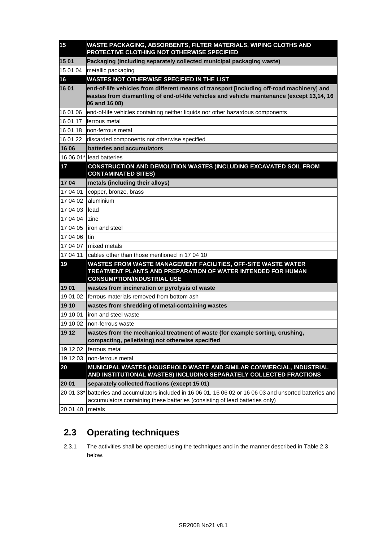| 15             | WASTE PACKAGING, ABSORBENTS, FILTER MATERIALS, WIPING CLOTHS AND<br>PROTECTIVE CLOTHING NOT OTHERWISE SPECIFIED                                                                                         |
|----------------|---------------------------------------------------------------------------------------------------------------------------------------------------------------------------------------------------------|
| 15 01          | Packaging (including separately collected municipal packaging waste)                                                                                                                                    |
| 15 01 04       | metallic packaging                                                                                                                                                                                      |
| 16             | <b>WASTES NOT OTHERWISE SPECIFIED IN THE LIST</b>                                                                                                                                                       |
| 16 01          | end-of-life vehicles from different means of transport [including off-road machinery] and<br>wastes from dismantling of end-of-life vehicles and vehicle maintenance (except 13,14, 16<br>06 and 16 08) |
| 16 01 06       | end-of-life vehicles containing neither liquids nor other hazardous components                                                                                                                          |
| 16 01 17       | ferrous metal                                                                                                                                                                                           |
| 16 01 18       | non-ferrous metal                                                                                                                                                                                       |
| 16 01 22       | discarded components not otherwise specified                                                                                                                                                            |
| 16 06          | batteries and accumulators                                                                                                                                                                              |
|                | 16 06 01* lead batteries                                                                                                                                                                                |
| 17             | CONSTRUCTION AND DEMOLITION WASTES (INCLUDING EXCAVATED SOIL FROM<br><b>CONTAMINATED SITES)</b>                                                                                                         |
| 1704           | metals (including their alloys)                                                                                                                                                                         |
| 17 04 01       | copper, bronze, brass                                                                                                                                                                                   |
| 17 04 02       | laluminium                                                                                                                                                                                              |
| 17 04 03 lead  |                                                                                                                                                                                                         |
| 17 04 04 Izinc |                                                                                                                                                                                                         |
|                | 17 04 05 liron and steel                                                                                                                                                                                |
| 17 04 06 tin   |                                                                                                                                                                                                         |
|                | 17 04 07 Imixed metals                                                                                                                                                                                  |
|                | 17 04 11 cables other than those mentioned in 17 04 10                                                                                                                                                  |
| 19             | WASTES FROM WASTE MANAGEMENT FACILITIES, OFF-SITE WASTE WATER<br>TREATMENT PLANTS AND PREPARATION OF WATER INTENDED FOR HUMAN<br><b>CONSUMPTION/INDUSTRIAL USE</b>                                      |
| 1901           | wastes from incineration or pyrolysis of waste                                                                                                                                                          |
| 19 01 02       | ferrous materials removed from bottom ash                                                                                                                                                               |
| 19 10          | wastes from shredding of metal-containing wastes                                                                                                                                                        |
| 19 10 01       | liron and steel waste                                                                                                                                                                                   |
|                | 19 10 02   non-ferrous waste                                                                                                                                                                            |
| 19 12          | wastes from the mechanical treatment of waste (for example sorting, crushing,<br>compacting, pelletising) not otherwise specified                                                                       |
| 19 12 02       | ferrous metal                                                                                                                                                                                           |
| 19 12 03       | non-ferrous metal                                                                                                                                                                                       |
| 20             | MUNICIPAL WASTES (HOUSEHOLD WASTE AND SIMILAR COMMERCIAL, INDUSTRIAL<br>AND INSTITUTIONAL WASTES) INCLUDING SEPARATELY COLLECTED FRACTIONS                                                              |
| 20 01          | separately collected fractions (except 15 01)                                                                                                                                                           |
| 20 01 33*      | batteries and accumulators included in 16 06 01, 16 06 02 or 16 06 03 and unsorted batteries and<br>accumulators containing these batteries (consisting of lead batteries only)                         |
| 20 01 40       | metals                                                                                                                                                                                                  |

### **2.3 Operating techniques**

2.3.1 The activities shall be operated using the techniques and in the manner described in Table 2.3 below.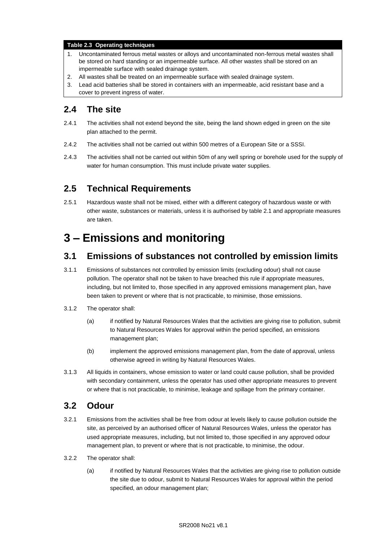#### **Table 2.3 Operating techniques**

- 1. Uncontaminated ferrous metal wastes or alloys and uncontaminated non-ferrous metal wastes shall be stored on hard standing or an impermeable surface. All other wastes shall be stored on an impermeable surface with sealed drainage system.
- 2. All wastes shall be treated on an impermeable surface with sealed drainage system.
- 3. Lead acid batteries shall be stored in containers with an impermeable, acid resistant base and a cover to prevent ingress of water.

#### **2.4 The site**

- 2.4.1 The activities shall not extend beyond the site, being the land shown edged in green on the site plan attached to the permit.
- 2.4.2 The activities shall not be carried out within 500 metres of a European Site or a SSSI.
- 2.4.3 The activities shall not be carried out within 50m of any well spring or borehole used for the supply of water for human consumption. This must include private water supplies.

#### **2.5 Technical Requirements**

2.5.1 Hazardous waste shall not be mixed, either with a different category of hazardous waste or with other waste, substances or materials, unless it is authorised by table 2.1 and appropriate measures are taken.

## **3 – Emissions and monitoring**

#### **3.1 Emissions of substances not controlled by emission limits**

- 3.1.1 Emissions of substances not controlled by emission limits (excluding odour) shall not cause pollution. The operator shall not be taken to have breached this rule if appropriate measures, including, but not limited to, those specified in any approved emissions management plan, have been taken to prevent or where that is not practicable, to minimise, those emissions.
- 3.1.2 The operator shall:
	- (a) if notified by Natural Resources Wales that the activities are giving rise to pollution, submit to Natural Resources Wales for approval within the period specified, an emissions management plan;
	- (b) implement the approved emissions management plan, from the date of approval, unless otherwise agreed in writing by Natural Resources Wales.
- 3.1.3 All liquids in containers, whose emission to water or land could cause pollution, shall be provided with secondary containment, unless the operator has used other appropriate measures to prevent or where that is not practicable, to minimise, leakage and spillage from the primary container.

#### **3.2 Odour**

- 3.2.1 Emissions from the activities shall be free from odour at levels likely to cause pollution outside the site, as perceived by an authorised officer of Natural Resources Wales, unless the operator has used appropriate measures, including, but not limited to, those specified in any approved odour management plan, to prevent or where that is not practicable, to minimise, the odour.
- 3.2.2 The operator shall:
	- (a) if notified by Natural Resources Wales that the activities are giving rise to pollution outside the site due to odour, submit to Natural Resources Wales for approval within the period specified, an odour management plan;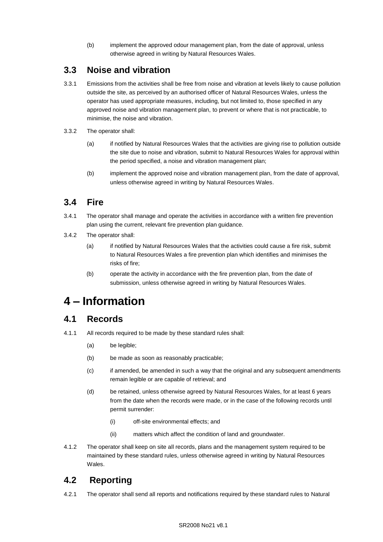(b) implement the approved odour management plan, from the date of approval, unless otherwise agreed in writing by Natural Resources Wales.

#### **3.3 Noise and vibration**

- 3.3.1 Emissions from the activities shall be free from noise and vibration at levels likely to cause pollution outside the site, as perceived by an authorised officer of Natural Resources Wales, unless the operator has used appropriate measures, including, but not limited to, those specified in any approved noise and vibration management plan, to prevent or where that is not practicable, to minimise, the noise and vibration.
- 3.3.2 The operator shall:
	- (a) if notified by Natural Resources Wales that the activities are giving rise to pollution outside the site due to noise and vibration, submit to Natural Resources Wales for approval within the period specified, a noise and vibration management plan;
	- (b) implement the approved noise and vibration management plan, from the date of approval, unless otherwise agreed in writing by Natural Resources Wales.

### **3.4 Fire**

- 3.4.1 The operator shall manage and operate the activities in accordance with a written fire prevention plan using the current, relevant fire prevention plan guidance.
- 3.4.2 The operator shall:
	- (a) if notified by Natural Resources Wales that the activities could cause a fire risk, submit to Natural Resources Wales a fire prevention plan which identifies and minimises the risks of fire;
	- (b) operate the activity in accordance with the fire prevention plan, from the date of submission, unless otherwise agreed in writing by Natural Resources Wales.

# **4 – Information**

#### **4.1 Records**

- 4.1.1 All records required to be made by these standard rules shall:
	- (a) be legible;
	- (b) be made as soon as reasonably practicable;
	- (c) if amended, be amended in such a way that the original and any subsequent amendments remain legible or are capable of retrieval; and
	- (d) be retained, unless otherwise agreed by Natural Resources Wales, for at least 6 years from the date when the records were made, or in the case of the following records until permit surrender:
		- (i) off-site environmental effects; and
		- (ii) matters which affect the condition of land and groundwater.
- 4.1.2 The operator shall keep on site all records, plans and the management system required to be maintained by these standard rules, unless otherwise agreed in writing by Natural Resources Wales.

#### **4.2 Reporting**

4.2.1 The operator shall send all reports and notifications required by these standard rules to Natural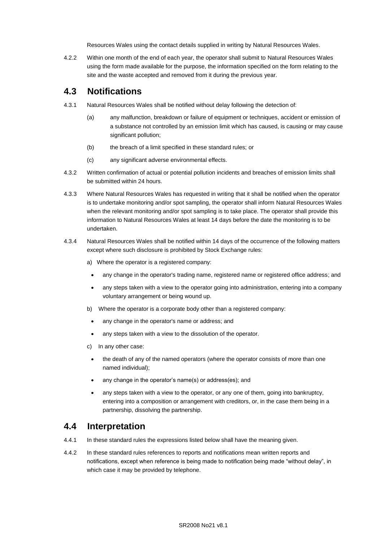Resources Wales using the contact details supplied in writing by Natural Resources Wales.

4.2.2 Within one month of the end of each year, the operator shall submit to Natural Resources Wales using the form made available for the purpose, the information specified on the form relating to the site and the waste accepted and removed from it during the previous year.

#### **4.3 Notifications**

- 4.3.1 Natural Resources Wales shall be notified without delay following the detection of:
	- (a) any malfunction, breakdown or failure of equipment or techniques, accident or emission of a substance not controlled by an emission limit which has caused, is causing or may cause significant pollution;
	- (b) the breach of a limit specified in these standard rules; or
	- (c) any significant adverse environmental effects.
- 4.3.2 Written confirmation of actual or potential pollution incidents and breaches of emission limits shall be submitted within 24 hours.
- 4.3.3 Where Natural Resources Wales has requested in writing that it shall be notified when the operator is to undertake monitoring and/or spot sampling, the operator shall inform Natural Resources Wales when the relevant monitoring and/or spot sampling is to take place. The operator shall provide this information to Natural Resources Wales at least 14 days before the date the monitoring is to be undertaken.
- 4.3.4 Natural Resources Wales shall be notified within 14 days of the occurrence of the following matters except where such disclosure is prohibited by Stock Exchange rules:
	- a) Where the operator is a registered company:
		- any change in the operator's trading name, registered name or registered office address; and
		- any steps taken with a view to the operator going into administration, entering into a company voluntary arrangement or being wound up.
	- b) Where the operator is a corporate body other than a registered company:
		- any change in the operator's name or address; and
		- any steps taken with a view to the dissolution of the operator.
	- c) In any other case:
		- the death of any of the named operators (where the operator consists of more than one named individual);
		- any change in the operator's name(s) or address(es); and
		- any steps taken with a view to the operator, or any one of them, going into bankruptcy, entering into a composition or arrangement with creditors, or, in the case them being in a partnership, dissolving the partnership.

#### **4.4 Interpretation**

- 4.4.1 In these standard rules the expressions listed below shall have the meaning given.
- 4.4.2 In these standard rules references to reports and notifications mean written reports and notifications, except when reference is being made to notification being made "without delay", in which case it may be provided by telephone.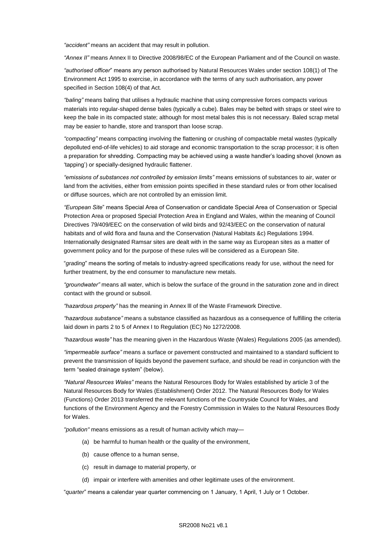*"accident"* means an accident that may result in pollution.

*"Annex II"* means Annex II to Directive 2008/98/EC of the European Parliament and of the Council on waste.

*"authorised officer*" means any person authorised by Natural Resources Wales under section 108(1) of The Environment Act 1995 to exercise, in accordance with the terms of any such authorisation, any power specified in Section 108(4) of that Act*.*

*"baling"* means baling that utilises a hydraulic machine that using compressive forces compacts various materials into regular-shaped dense bales (typically a cube). Bales may be belted with straps or steel wire to keep the bale in its compacted state; although for most metal bales this is not necessary. Baled scrap metal may be easier to handle, store and transport than loose scrap.

*"compacting"* means compacting involving the flattening or crushing of compactable metal wastes (typically depolluted end-of-life vehicles) to aid storage and economic transportation to the scrap processor; it is often a preparation for shredding. Compacting may be achieved using a waste handler's loading shovel (known as 'tapping') or specially-designed hydraulic flattener.

*"emissions of substances not controlled by emission limits"* means emissions of substances to air, water or land from the activities, either from emission points specified in these standard rules or from other localised or diffuse sources, which are not controlled by an emission limit.

*"European Site*" means Special Area of Conservation or candidate Special Area of Conservation or Special Protection Area or proposed Special Protection Area in England and Wales, within the meaning of Council Directives 79/409/EEC on the conservation of wild birds and 92/43/EEC on the conservation of natural habitats and of wild flora and fauna and the Conservation (Natural Habitats &c) Regulations 1994. Internationally designated Ramsar sites are dealt with in the same way as European sites as a matter of government policy and for the purpose of these rules will be considered as a European Site.

"*grading*" means the sorting of metals to industry-agreed specifications ready for use, without the need for further treatment, by the end consumer to manufacture new metals.

*"groundwater"* means all water, which is below the surface of the ground in the saturation zone and in direct contact with the ground or subsoil.

*"hazardous property"* has the meaning in Annex lll of the Waste Framework Directive.

*"hazardous substance"* means a substance classified as hazardous as a consequence of fulfilling the criteria laid down in parts 2 to 5 of Annex I to Regulation (EC) No 1272/2008.

*"hazardous waste"* has the meaning given in the Hazardous Waste (Wales) Regulations 2005 (as amended).

*"impermeable surface"* means a surface or pavement constructed and maintained to a standard sufficient to prevent the transmission of liquids beyond the pavement surface, and should be read in conjunction with the term "sealed drainage system" (below).

*"Natural Resources Wales"* means the Natural Resources Body for Wales established by article 3 of the Natural Resources Body for Wales (Establishment) Order 2012. The Natural Resources Body for Wales (Functions) Order 2013 transferred the relevant functions of the Countryside Council for Wales, and functions of the Environment Agency and the Forestry Commission in Wales to the Natural Resources Body for Wales.

*"pollution"* means emissions as a result of human activity which may—

- (a) be harmful to human health or the quality of the environment,
- (b) cause offence to a human sense,
- (c) result in damage to material property, or
- (d) impair or interfere with amenities and other legitimate uses of the environment.

"*quarter*" means a calendar year quarter commencing on 1 January, 1 April, 1 July or 1 October.